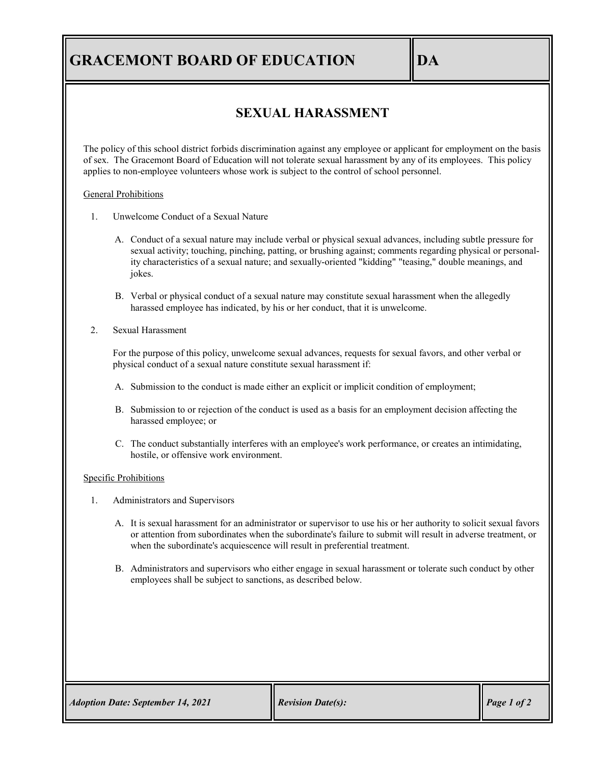# **GRACEMONT BOARD OF EDUCATION DA**

## **SEXUAL HARASSMENT**

The policy of this school district forbids discrimination against any employee or applicant for employment on the basis of sex. The Gracemont Board of Education will not tolerate sexual harassment by any of its employees. This policy applies to non-employee volunteers whose work is subject to the control of school personnel.

#### General Prohibitions

- 1. Unwelcome Conduct of a Sexual Nature
	- A. Conduct of a sexual nature may include verbal or physical sexual advances, including subtle pressure for sexual activity; touching, pinching, patting, or brushing against; comments regarding physical or personality characteristics of a sexual nature; and sexually-oriented "kidding" "teasing," double meanings, and jokes.
	- B. Verbal or physical conduct of a sexual nature may constitute sexual harassment when the allegedly harassed employee has indicated, by his or her conduct, that it is unwelcome.
- 2. Sexual Harassment

For the purpose of this policy, unwelcome sexual advances, requests for sexual favors, and other verbal or physical conduct of a sexual nature constitute sexual harassment if:

- A. Submission to the conduct is made either an explicit or implicit condition of employment;
- B. Submission to or rejection of the conduct is used as a basis for an employment decision affecting the harassed employee; or
- C. The conduct substantially interferes with an employee's work performance, or creates an intimidating, hostile, or offensive work environment.

#### Specific Prohibitions

- 1. Administrators and Supervisors
	- A. It is sexual harassment for an administrator or supervisor to use his or her authority to solicit sexual favors or attention from subordinates when the subordinate's failure to submit will result in adverse treatment, or when the subordinate's acquiescence will result in preferential treatment.
	- B. Administrators and supervisors who either engage in sexual harassment or tolerate such conduct by other employees shall be subject to sanctions, as described below.